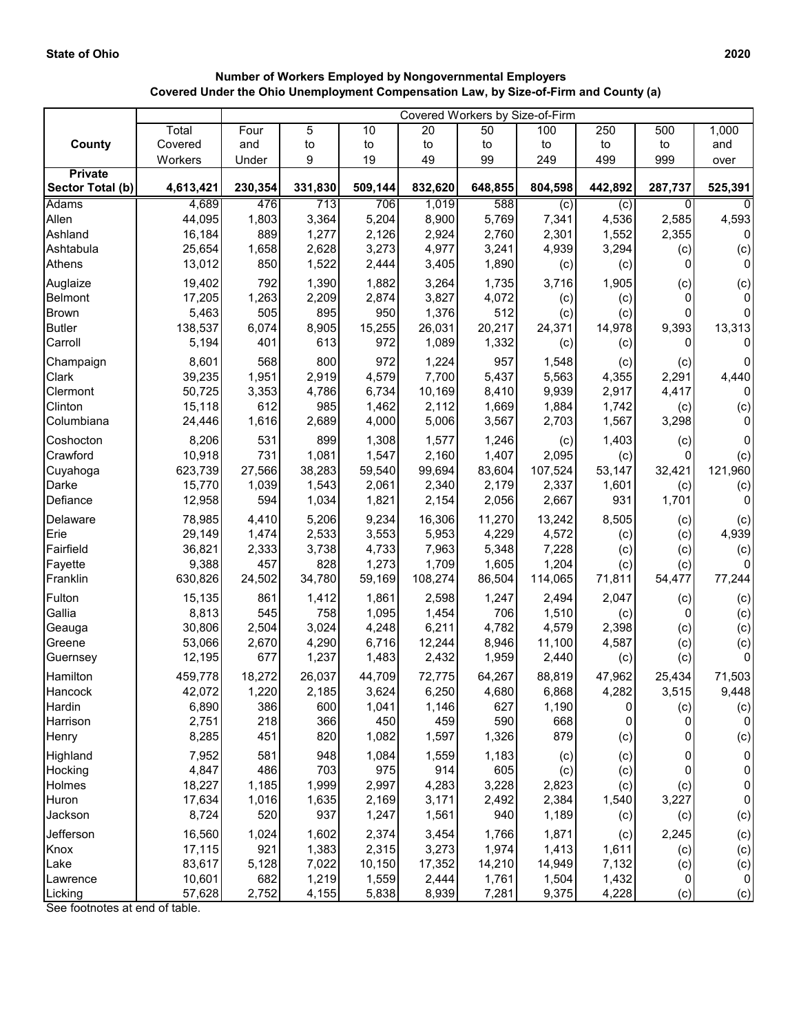## **Number of Workers Employed by Nongovernmental Employers Covered Under the Ohio Unemployment Compensation Law, by Size-of-Firm and County (a)**

|                       |                  | Covered Workers by Size-of-Firm |               |                 |                  |                 |                  |               |                |                |
|-----------------------|------------------|---------------------------------|---------------|-----------------|------------------|-----------------|------------------|---------------|----------------|----------------|
|                       | Total            | Four                            | 5             | 10              | 20               | 50              | 100              | 250           | 500            | 1,000          |
| County                | Covered          | and                             | to            | to              | to               | to              | to               | to            | to             | and            |
|                       | Workers          | Under                           | 9             | 19              | 49               | 99              | 249              | 499           | 999            | over           |
| <b>Private</b>        |                  |                                 |               |                 |                  |                 |                  |               |                |                |
| Sector Total (b)      | 4,613,421        | 230,354                         | 331,830       | 509,144         | 832,620          | 648,855         | 804,598          | 442,892       | 287,737        | 525,391        |
| <b>Adams</b><br>Allen | 4,689<br>44,095  | 476<br>1,803                    | 713<br>3,364  | 706<br>5,204    | 1,019<br>8,900   | 588<br>5,769    | (c)<br>7,341     | (c)<br>4,536  | 0<br>2,585     |                |
| Ashland               | 16,184           | 889                             | 1,277         | 2,126           | 2,924            | 2,760           | 2,301            | 1,552         | 2,355          | 4,593<br>0     |
| Ashtabula             | 25,654           | 1,658                           | 2,628         | 3,273           | 4,977            | 3,241           | 4,939            | 3,294         | (c)            | (c)            |
| Athens                | 13,012           | 850                             | 1,522         | 2,444           | 3,405            | 1,890           | (c)              | (c)           | 0              | $\mathbf{0}$   |
| Auglaize              | 19,402           | 792                             | 1,390         | 1,882           | 3,264            | 1,735           | 3,716            | 1,905         | (c)            | (c)            |
| Belmont               | 17,205           | 1,263                           | 2,209         | 2,874           | 3,827            | 4,072           | (c)              | (c)           | 0              | 0              |
| <b>Brown</b>          | 5,463            | 505                             | 895           | 950             | 1,376            | 512             | (c)              | (c)           | 0              | 0              |
| <b>Butler</b>         | 138,537          | 6,074                           | 8,905         | 15,255          | 26,031           | 20,217          | 24,371           | 14,978        | 9,393          | 13,313         |
| Carroll               | 5,194            | 401                             | 613           | 972             | 1,089            | 1,332           | (c)              | (c)           | 0              | $\mathbf 0$    |
| Champaign             | 8,601            | 568                             | 800           | 972             | 1,224            | 957             | 1,548            | (c)           | (c)            | 0              |
| Clark                 | 39,235           | 1,951                           | 2,919         | 4,579           | 7,700            | 5,437           | 5,563            | 4,355         | 2,291          | 4,440          |
| Clermont              | 50,725           | 3,353                           | 4,786         | 6,734           | 10,169           | 8,410           | 9,939            | 2,917         | 4,417          | $\mathbf 0$    |
| Clinton               | 15,118           | 612                             | 985           | 1,462           | 2,112            | 1,669           | 1,884            | 1,742         | (c)            | (c)            |
| Columbiana            | 24,446           | 1,616                           | 2,689         | 4,000           | 5,006            | 3,567           | 2,703            | 1,567         | 3,298          | $\Omega$       |
| Coshocton             | 8,206            | 531                             | 899           | 1,308           | 1,577            | 1,246           | (c)              | 1,403         | (c)            | 0              |
| Crawford              | 10,918           | 731                             | 1,081         | 1,547           | 2,160            | 1,407           | 2,095            | (c)           | 0              | (c)            |
| Cuyahoga              | 623,739          | 27,566                          | 38,283        | 59,540          | 99,694           | 83,604          | 107,524          | 53,147        | 32,421         | 121,960        |
| Darke                 | 15,770           | 1,039                           | 1,543         | 2,061           | 2,340            | 2,179           | 2,337            | 1,601         | (c)            | (c)            |
| Defiance              | 12,958           | 594                             | 1,034         | 1,821           | 2,154            | 2,056           | 2,667            | 931           | 1,701          | $\Omega$       |
| Delaware              | 78,985           | 4,410                           | 5,206         | 9,234           | 16,306           | 11,270          | 13,242           | 8,505         | (c)            | (c)            |
| Erie                  | 29,149           | 1,474                           | 2,533         | 3,553           | 5,953            | 4,229           | 4,572            | (c)           | (c)            | 4,939          |
| Fairfield             | 36,821           | 2,333                           | 3,738         | 4,733           | 7,963            | 5,348           | 7,228            | (c)           | (c)            | (c)            |
| Fayette<br>Franklin   | 9,388<br>630,826 | 457<br>24,502                   | 828<br>34,780 | 1,273<br>59,169 | 1,709<br>108,274 | 1,605<br>86,504 | 1,204<br>114,065 | (c)<br>71,811 | (c)<br>54,477  | 0<br>77,244    |
|                       |                  |                                 |               |                 |                  |                 |                  |               |                |                |
| Fulton                | 15,135           | 861                             | 1,412         | 1,861           | 2,598            | 1,247           | 2,494            | 2,047         | (c)            | (c)            |
| Gallia<br>Geauga      | 8,813<br>30,806  | 545<br>2,504                    | 758<br>3,024  | 1,095<br>4,248  | 1,454<br>6,211   | 706<br>4,782    | 1,510<br>4,579   | (c)<br>2,398  | 0              | (c)            |
| Greene                | 53,066           | 2,670                           | 4,290         | 6,716           | 12,244           | 8,946           | 11,100           | 4,587         | (c)<br>(c)     | (c)<br>(c)     |
| Guernsey              | 12,195           | 677                             | 1,237         | 1,483           | 2,432            | 1,959           | 2,440            | (c)           | (c)            | 0              |
| Hamilton              | 459,778          | 18,272                          | 26,037        | 44,709          | 72,775           | 64,267          | 88,819           | 47,962        | 25,434         | 71,503         |
| Hancock               | 42,072           | 1,220                           | 2,185         | 3,624           | 6,250            | 4,680           | 6,868            | 4,282         | 3,515          | 9,448          |
| Hardin                | 6,890            | 386                             | 600           | 1,041           | 1,146            | 627             | 1,190            | 0             | (c)            | (c)            |
| Harrison              | 2,751            | 218                             | 366           | 450             | 459              | 590             | 668              | 0             | 0              | $\overline{0}$ |
| Henry                 | 8,285            | 451                             | 820           | 1,082           | 1,597            | 1,326           | 879              | (c)           | 0              | (c)            |
| Highland              | 7,952            | 581                             | 948           | 1,084           | 1,559            | 1,183           | (c)              | (c)           | 0              | 0              |
| Hocking               | 4,847            | 486                             | 703           | 975             | 914              | 605             | (c)              | (c)           | $\pmb{0}$      | 0              |
| Holmes                | 18,227           | 1,185                           | 1,999         | 2,997           | 4,283            | 3,228           | 2,823            | (c)           | (c)            | 0              |
| Huron                 | 17,634           | 1,016                           | 1,635         | 2,169           | 3,171            | 2,492           | 2,384            | 1,540         | 3,227          | 0              |
| Jackson               | 8,724            | 520                             | 937           | 1,247           | 1,561            | 940             | 1,189            | (c)           | (c)            | (c)            |
| Jefferson             | 16,560           | 1,024                           | 1,602         | 2,374           | 3,454            | 1,766           | 1,871            | (c)           | 2,245          | (c)            |
| Knox                  | 17,115           | 921                             | 1,383         | 2,315           | 3,273            | 1,974           | 1,413            | 1,611         | (c)            | (c)            |
| Lake                  | 83,617           | 5,128                           | 7,022         | 10,150          | 17,352           | 14,210          | 14,949           | 7,132         | (c)            | (c)            |
| Lawrence              | 10,601           | 682                             | 1,219         | 1,559           | 2,444            | 1,761           | 1,504            | 1,432         | $\overline{0}$ | $\overline{0}$ |
| Licking               | 57,628           | 2,752                           | 4,155         | 5,838           | 8,939            | 7,281           | 9,375            | 4,228         | (c)            | (c)            |

See footnotes at end of table.